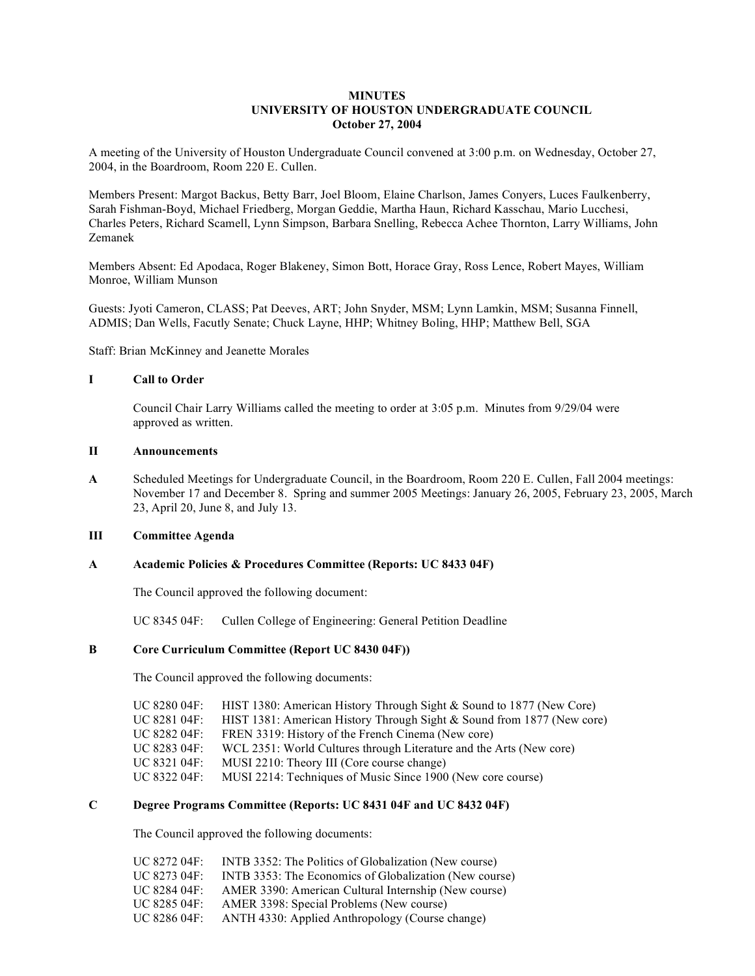## **MINUTES UNIVERSITY OF HOUSTON UNDERGRADUATE COUNCIL October 27, 2004**

A meeting of the University of Houston Undergraduate Council convened at 3:00 p.m. on Wednesday, October 27, 2004, in the Boardroom, Room 220 E. Cullen.

Members Present: Margot Backus, Betty Barr, Joel Bloom, Elaine Charlson, James Conyers, Luces Faulkenberry, Sarah Fishman-Boyd, Michael Friedberg, Morgan Geddie, Martha Haun, Richard Kasschau, Mario Lucchesi, Charles Peters, Richard Scamell, Lynn Simpson, Barbara Snelling, Rebecca Achee Thornton, Larry Williams, John Zemanek

Members Absent: Ed Apodaca, Roger Blakeney, Simon Bott, Horace Gray, Ross Lence, Robert Mayes, William Monroe, William Munson

Guests: Jyoti Cameron, CLASS; Pat Deeves, ART; John Snyder, MSM; Lynn Lamkin, MSM; Susanna Finnell, ADMIS; Dan Wells, Facutly Senate; Chuck Layne, HHP; Whitney Boling, HHP; Matthew Bell, SGA

Staff: Brian McKinney and Jeanette Morales

### **I Call to Order**

Council Chair Larry Williams called the meeting to order at 3:05 p.m. Minutes from 9/29/04 were approved as written.

### **II Announcements**

**A** Scheduled Meetings for Undergraduate Council, in the Boardroom, Room 220 E. Cullen, Fall 2004 meetings: November 17 and December 8. Spring and summer 2005 Meetings: January 26, 2005, February 23, 2005, March 23, April 20, June 8, and July 13.

# **III Committee Agenda**

#### **A Academic Policies & Procedures Committee (Reports: UC 8433 04F)**

The Council approved the following document:

UC 8345 04F: Cullen College of Engineering: General Petition Deadline

### **B Core Curriculum Committee (Report UC 8430 04F))**

The Council approved the following documents:

| UC 8280 04F: | HIST 1380: American History Through Sight & Sound to 1877 (New Core)   |
|--------------|------------------------------------------------------------------------|
| UC 8281 04F: | HIST 1381: American History Through Sight & Sound from 1877 (New core) |
| UC 8282 04F: | FREN 3319: History of the French Cinema (New core)                     |
| UC 8283 04F: | WCL 2351: World Cultures through Literature and the Arts (New core)    |
| UC 8321 04F: | MUSI 2210: Theory III (Core course change)                             |
| UC 8322 04F: | MUSI 2214: Techniques of Music Since 1900 (New core course)            |

# **C Degree Programs Committee (Reports: UC 8431 04F and UC 8432 04F)**

The Council approved the following documents:

| $\overline{C}$ 8272 04F: | INTB 3352: The Politics of Globalization (New course)  |
|--------------------------|--------------------------------------------------------|
| $\overline{C}$ 8273 04F: | INTB 3353: The Economics of Globalization (New course) |
| $\overline{C}$ 8284 04F: | AMER 3390: American Cultural Internship (New course)   |
| UC 8285 04F:             | AMER 3398: Special Problems (New course)               |
| UC 8286 04F:             | ANTH 4330: Applied Anthropology (Course change)        |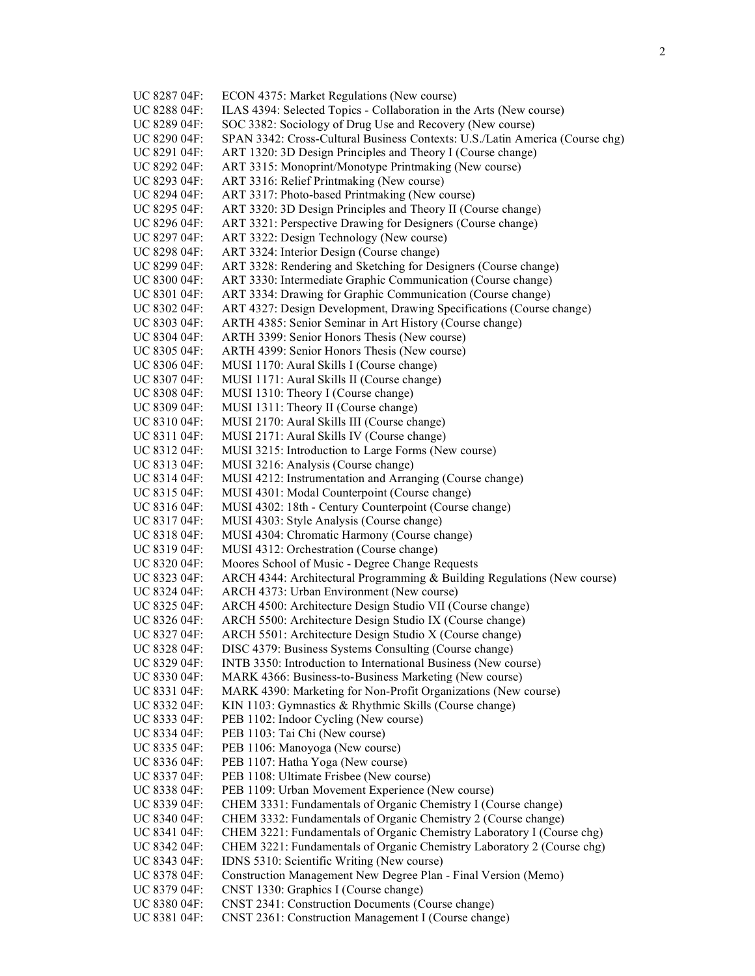| UC 8287 04F:                 | ECON 4375: Market Regulations (New course)                                                                               |
|------------------------------|--------------------------------------------------------------------------------------------------------------------------|
| UC 8288 04F:                 | ILAS 4394: Selected Topics - Collaboration in the Arts (New course)                                                      |
| UC 8289 04F:                 | SOC 3382: Sociology of Drug Use and Recovery (New course)                                                                |
| UC 8290 04F:                 | SPAN 3342: Cross-Cultural Business Contexts: U.S./Latin America (Course chg)                                             |
| UC 8291 04F:                 | ART 1320: 3D Design Principles and Theory I (Course change)                                                              |
| UC 8292 04F:                 | ART 3315: Monoprint/Monotype Printmaking (New course)                                                                    |
| UC 8293 04F:                 | ART 3316: Relief Printmaking (New course)                                                                                |
| UC 8294 04F:                 | ART 3317: Photo-based Printmaking (New course)                                                                           |
| UC 8295 04F:                 | ART 3320: 3D Design Principles and Theory II (Course change)                                                             |
| UC 8296 04F:                 | ART 3321: Perspective Drawing for Designers (Course change)                                                              |
| UC 8297 04F:                 | ART 3322: Design Technology (New course)                                                                                 |
| UC 8298 04F:                 | ART 3324: Interior Design (Course change)                                                                                |
| UC 8299 04F:                 | ART 3328: Rendering and Sketching for Designers (Course change)                                                          |
| UC 8300 04F:                 | ART 3330: Intermediate Graphic Communication (Course change)                                                             |
| UC 8301 04F:                 | ART 3334: Drawing for Graphic Communication (Course change)                                                              |
| UC 8302 04F:                 | ART 4327: Design Development, Drawing Specifications (Course change)                                                     |
| UC 8303 04F:                 | ARTH 4385: Senior Seminar in Art History (Course change)                                                                 |
| UC 8304 04F:                 | ARTH 3399: Senior Honors Thesis (New course)                                                                             |
| UC 8305 04F:                 | ARTH 4399: Senior Honors Thesis (New course)                                                                             |
| UC 8306 04F:                 | MUSI 1170: Aural Skills I (Course change)                                                                                |
| UC 8307 04F:                 | MUSI 1171: Aural Skills II (Course change)                                                                               |
| UC 8308 04F:                 | MUSI 1310: Theory I (Course change)                                                                                      |
| UC 8309 04F:                 | MUSI 1311: Theory II (Course change)                                                                                     |
| UC 8310 04F:                 | MUSI 2170: Aural Skills III (Course change)                                                                              |
| UC 8311 04F:                 | MUSI 2171: Aural Skills IV (Course change)                                                                               |
| UC 8312 04F:                 | MUSI 3215: Introduction to Large Forms (New course)                                                                      |
| UC 8313 04F:                 | MUSI 3216: Analysis (Course change)                                                                                      |
| UC 8314 04F:                 | MUSI 4212: Instrumentation and Arranging (Course change)                                                                 |
| UC 8315 04F:                 | MUSI 4301: Modal Counterpoint (Course change)                                                                            |
| UC 8316 04F:                 | MUSI 4302: 18th - Century Counterpoint (Course change)                                                                   |
| UC 8317 04F:                 | MUSI 4303: Style Analysis (Course change)                                                                                |
| UC 8318 04F:                 | MUSI 4304: Chromatic Harmony (Course change)                                                                             |
| UC 8319 04F:                 | MUSI 4312: Orchestration (Course change)                                                                                 |
| UC 8320 04F:                 | Moores School of Music - Degree Change Requests                                                                          |
| UC 8323 04F:                 | ARCH 4344: Architectural Programming & Building Regulations (New course)                                                 |
| UC 8324 04F:                 | ARCH 4373: Urban Environment (New course)                                                                                |
| UC 8325 04F:                 | ARCH 4500: Architecture Design Studio VII (Course change)                                                                |
| UC 8326 04F:                 | ARCH 5500: Architecture Design Studio IX (Course change)                                                                 |
| UC 8327 04F:                 | ARCH 5501: Architecture Design Studio X (Course change)                                                                  |
| UC 8328 04F:                 | DISC 4379: Business Systems Consulting (Course change)                                                                   |
| UC 8329 04F:                 | INTB 3350: Introduction to International Business (New course)<br>MARK 4366: Business-to-Business Marketing (New course) |
| UC 8330 04F:                 |                                                                                                                          |
| UC 8331 04F:<br>UC 8332 04F: | MARK 4390: Marketing for Non-Profit Organizations (New course)<br>KIN 1103: Gymnastics & Rhythmic Skills (Course change) |
|                              | PEB 1102: Indoor Cycling (New course)                                                                                    |
| UC 8333 04F:<br>UC 8334 04F: | PEB 1103: Tai Chi (New course)                                                                                           |
| UC 8335 04F:                 | PEB 1106: Manoyoga (New course)                                                                                          |
| UC 8336 04F:                 | PEB 1107: Hatha Yoga (New course)                                                                                        |
| UC 8337 04F:                 | PEB 1108: Ultimate Frisbee (New course)                                                                                  |
| UC 8338 04F:                 | PEB 1109: Urban Movement Experience (New course)                                                                         |
| UC 8339 04F:                 | CHEM 3331: Fundamentals of Organic Chemistry I (Course change)                                                           |
| UC 8340 04F:                 | CHEM 3332: Fundamentals of Organic Chemistry 2 (Course change)                                                           |
| UC 8341 04F:                 | CHEM 3221: Fundamentals of Organic Chemistry Laboratory I (Course chg)                                                   |
| UC 8342 04F:                 | CHEM 3221: Fundamentals of Organic Chemistry Laboratory 2 (Course chg)                                                   |
| UC 8343 04F:                 | IDNS 5310: Scientific Writing (New course)                                                                               |
| UC 8378 04F:                 | Construction Management New Degree Plan - Final Version (Memo)                                                           |
| UC 8379 04F:                 | CNST 1330: Graphics I (Course change)                                                                                    |
| UC 8380 04F:                 | CNST 2341: Construction Documents (Course change)                                                                        |
| UC 8381 04F:                 | CNST 2361: Construction Management I (Course change)                                                                     |